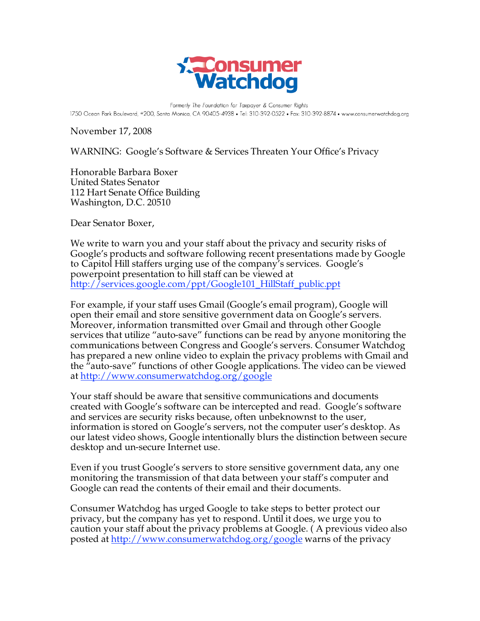

Formerly The Foundation for Taxpayer & Consumer Rights 1750 Ocean Park Boulevard, #200, Santa Monica, CA 90405-4938 • Tel: 310-392-0522 • Fax: 310-392-8874 • www.consumerwatchdog.org

November 17, 2008

WARNING: Google's Software & Services Threaten Your Office's Privacy

Honorable Barbara Boxer United States Senator 112 Hart Senate Office Building Washington, D.C. 20510

Dear Senator Boxer,

We write to warn you and your staff about the privacy and security risks of Google's products and software following recent presentations made by Google to Capitol Hill staffers urging use of the company's services. Google's powerpoint presentation to hill staff can be viewed at http://services.google.com/ppt/Google101\_HillStaff\_public.ppt

For example, if your staff uses Gmail (Google's email program), Google will open their email and store sensitive government data on Google's servers. Moreover, information transmitted over Gmail and through other Google services that utilize "auto-save" functions can be read by anyone monitoring the communications between Congress and Google's servers. Consumer Watchdog has prepared a new online video to explain the privacy problems with Gmail and the "auto-save" functions of other Google applications. The video can be viewed at http://www.consumerwatchdog.org/google

Your staff should be aware that sensitive communications and documents created with Google's software can be intercepted and read. Google's software and services are security risks because, often unbeknownst to the user, information is stored on Google's servers, not the computer user's desktop. As our latest video shows, Google intentionally blurs the distinction between secure desktop and un-secure Internet use.

Even if you trust Google's servers to store sensitive government data, any one monitoring the transmission of that data between your staff's computer and Google can read the contents of their email and their documents.

Consumer Watchdog has urged Google to take steps to better protect our privacy, but the company has yet to respond. Until it does, we urge you to caution your staff about the privacy problems at Google. ( A previous video also posted at http://www.consumerwatchdog.org/google warns of the privacy